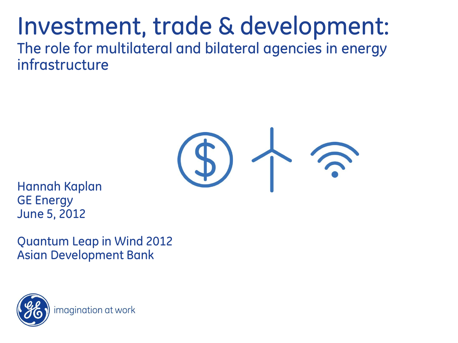### Investment, trade & development: The role for multilateral and bilateral agencies in energy infrastructure



Hannah Kaplan GE Energy June 5, 2012

Quantum Leap in Wind 2012 Asian Development Bank

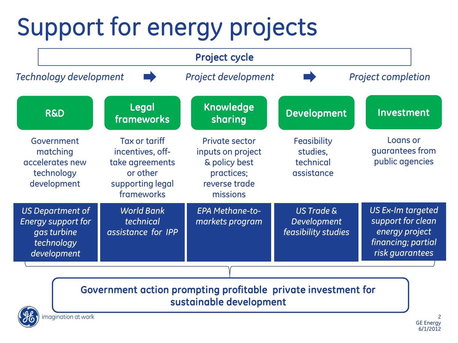# Support for energy projects

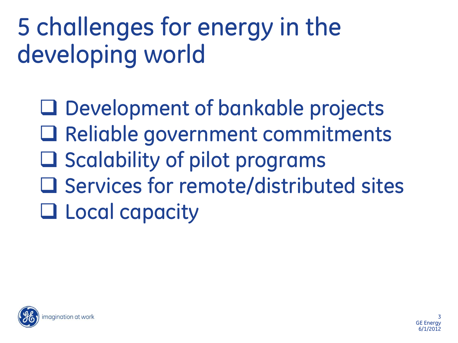# 5 challenges for energy in the developing world

□ Development of bankable projects □ Reliable government commitments  $\Box$  Scalability of pilot programs  $\square$  Services for remote/distributed sites **Local capacity** 

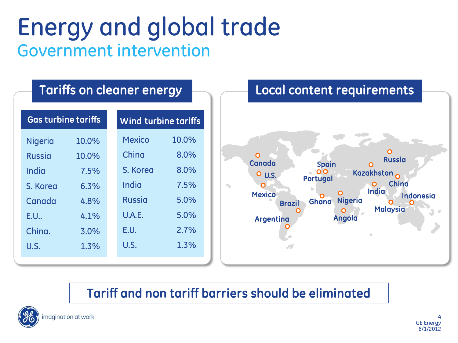## Energy and global trade Government intervention

#### Tariffs on cleaner energy

| <b>Gas turbine tariffs</b> |       | Wind turbine tariffs |       |
|----------------------------|-------|----------------------|-------|
| <b>Nigeria</b>             | 10.0% | <b>Mexico</b>        | 10.0% |
| <b>Russia</b>              | 10.0% | China                | 8.0%  |
| India                      | 7.5%  | S. Korea             | 8.0%  |
| S. Korea                   | 6.3%  | India                | 7.5%  |
| Canada                     | 4.8%  | <b>Russia</b>        | 5.0%  |
| E.U                        | 4.1%  | U.A.E.               | 5.0%  |
| China.                     | 3.0%  | E.U.                 | 2.7%  |
| U.S.                       | 1.3%  | U.S.                 | 1.3%  |
|                            |       |                      |       |



#### Tariff and non tariff barriers should be eliminated



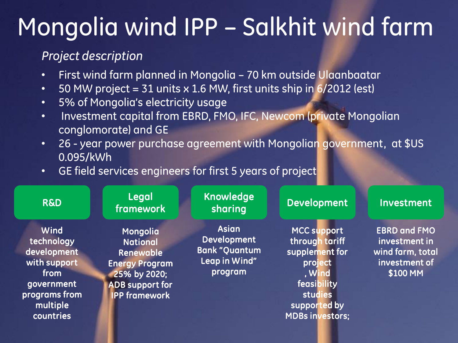## Mongolia wind IPP – Salkhit wind farm

#### *Project description*

- First wind farm planned in Mongolia 70 km outside Ulaanbaatar
- 50 MW project = 31 units  $\times$  1.6 MW, first units ship in 6/2012 (est)
- 5% of Mongolia's electricity usage
- Investment capital from EBRD, FMO, IFC, Newcom (private Mongolian conglomorate) and GE
- 26 year power purchase agreement with Mongolian government, at \$US 0.095/kWh
- GE field services engineers for first 5 years of project

| <b>R&amp;D</b>                                                                                                    | Legal<br><b>framework</b>                                                                                                           | <b>Knowledge</b><br>sharing                                                             | <b>Development</b>                                                                                                                       | Investment                                                                            |
|-------------------------------------------------------------------------------------------------------------------|-------------------------------------------------------------------------------------------------------------------------------------|-----------------------------------------------------------------------------------------|------------------------------------------------------------------------------------------------------------------------------------------|---------------------------------------------------------------------------------------|
| Wind<br>technology<br>development<br>with support<br>from<br>government<br>programs from<br>multiple<br>countries | Mongolia<br><b>National</b><br>Renewable<br><b>Energy Program</b><br>25% by 2020;<br><b>ADB support for</b><br><b>IPP framework</b> | <b>Asian</b><br><b>Development</b><br><b>Bank "Quantum</b><br>Leap in Wind"<br>program' | MCC support<br>through tariff<br>supplement for<br>project<br>, Wind<br>feasibility<br>studies<br>supported by<br><b>MDBs investors;</b> | <b>EBRD and FMO</b><br>investment in<br>wind farm, total<br>investment of<br>\$100 MM |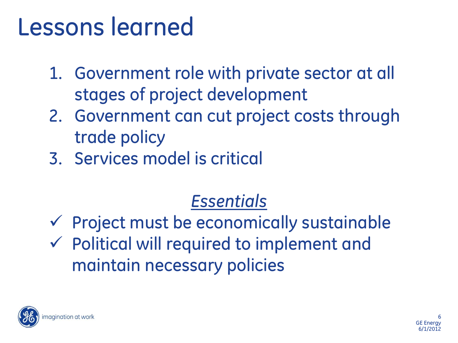## Lessons learned

- 1. Government role with private sector at all stages of project development
- 2. Government can cut project costs through trade policy
- 3. Services model is critical

### *Essentials*

 $\checkmark$  Project must be economically sustainable  $\checkmark$  Political will required to implement and maintain necessary policies